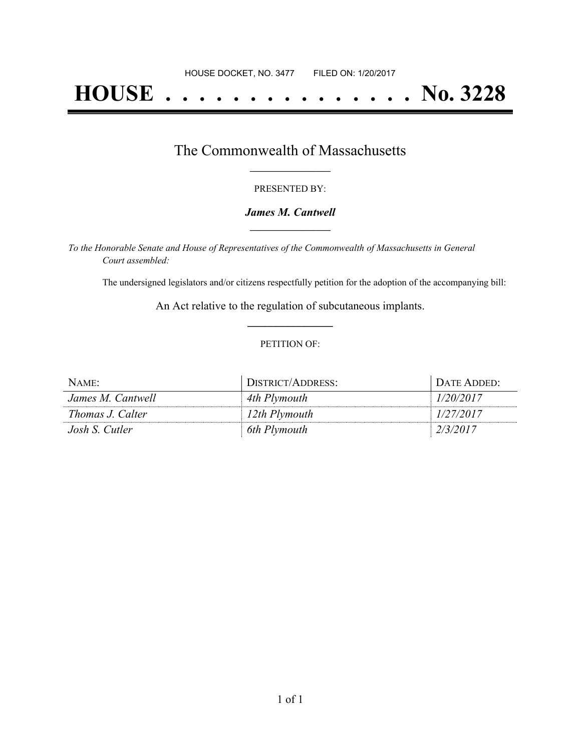# **HOUSE . . . . . . . . . . . . . . . No. 3228**

### The Commonwealth of Massachusetts **\_\_\_\_\_\_\_\_\_\_\_\_\_\_\_\_\_**

#### PRESENTED BY:

#### *James M. Cantwell* **\_\_\_\_\_\_\_\_\_\_\_\_\_\_\_\_\_**

*To the Honorable Senate and House of Representatives of the Commonwealth of Massachusetts in General Court assembled:*

The undersigned legislators and/or citizens respectfully petition for the adoption of the accompanying bill:

An Act relative to the regulation of subcutaneous implants. **\_\_\_\_\_\_\_\_\_\_\_\_\_\_\_**

#### PETITION OF:

| NAME:             | DISTRICT/ADDRESS: | . DATE ADDED: |
|-------------------|-------------------|---------------|
| James M. Cantwell | 4th Plymouth      | 1/20/2017     |
| Thomas J. Calter  | 12th Plymouth     | 1/27/2017     |
| Josh S. Cutler    | 6th Plymouth      | 2/3/2017      |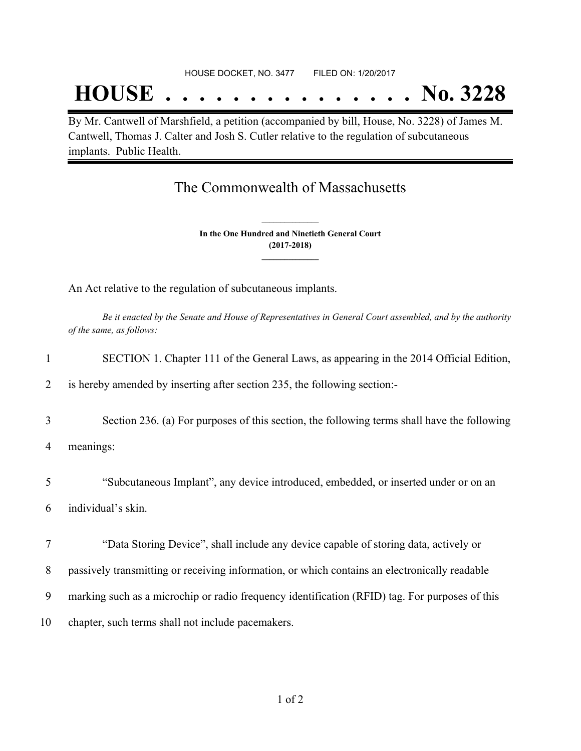#### HOUSE DOCKET, NO. 3477 FILED ON: 1/20/2017

## **HOUSE . . . . . . . . . . . . . . . No. 3228**

By Mr. Cantwell of Marshfield, a petition (accompanied by bill, House, No. 3228) of James M. Cantwell, Thomas J. Calter and Josh S. Cutler relative to the regulation of subcutaneous implants. Public Health.

## The Commonwealth of Massachusetts

**In the One Hundred and Ninetieth General Court (2017-2018) \_\_\_\_\_\_\_\_\_\_\_\_\_\_\_**

**\_\_\_\_\_\_\_\_\_\_\_\_\_\_\_**

An Act relative to the regulation of subcutaneous implants.

Be it enacted by the Senate and House of Representatives in General Court assembled, and by the authority *of the same, as follows:*

| 1  | SECTION 1. Chapter 111 of the General Laws, as appearing in the 2014 Official Edition,         |
|----|------------------------------------------------------------------------------------------------|
| 2  | is hereby amended by inserting after section 235, the following section:-                      |
| 3  | Section 236. (a) For purposes of this section, the following terms shall have the following    |
| 4  | meanings:                                                                                      |
| 5  | "Subcutaneous Implant", any device introduced, embedded, or inserted under or on an            |
| 6  | individual's skin.                                                                             |
| 7  | "Data Storing Device", shall include any device capable of storing data, actively or           |
| 8  | passively transmitting or receiving information, or which contains an electronically readable  |
| 9  | marking such as a microchip or radio frequency identification (RFID) tag. For purposes of this |
| 10 | chapter, such terms shall not include pacemakers.                                              |
|    |                                                                                                |